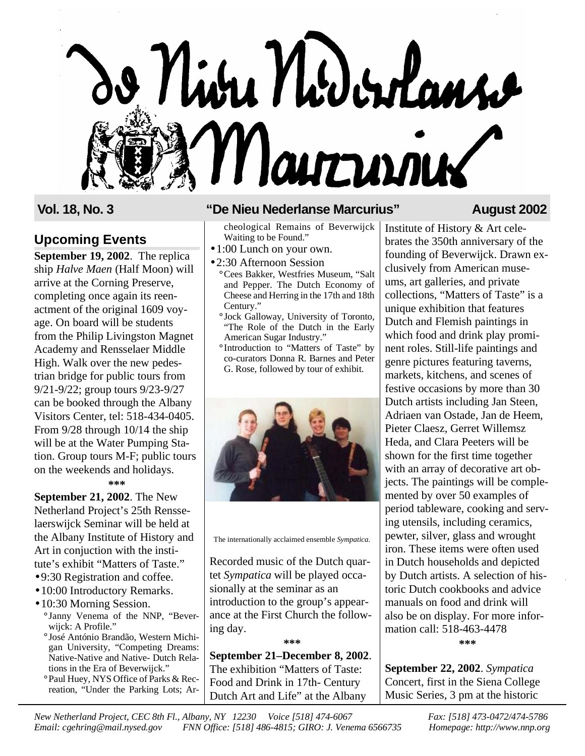# 9 Niva Nodenlans Marcuroux

# **Upcoming Events**

**September 19, 2002**. The replica ship *Halve Maen* (Half Moon) will arrive at the Corning Preserve, completing once again its reenactment of the original 1609 voyage. On board will be students from the Philip Livingston Magnet Academy and Rensselaer Middle High. Walk over the new pedestrian bridge for public tours from 9/21-9/22; group tours 9/23-9/27 can be booked through the Albany Visitors Center, tel: 518-434-0405. From 9/28 through 10/14 the ship will be at the Water Pumping Station. Group tours M-F; public tours on the weekends and holidays. **\*\*\***

**September 21, 2002**. The New Netherland Project's 25th Rensselaerswijck Seminar will be held at the Albany Institute of History and Art in conjuction with the institute's exhibit "Matters of Taste."

- 9:30 Registration and coffee.
- 10:00 Introductory Remarks.
- 10:30 Morning Session. **°** Janny Venema of the NNP, "Beverwijck: A Profile."
	- **°** José António Brandão, Western Michigan University, "Competing Dreams: Native-Native and Native- Dutch Relations in the Era of Beverwijck."
	- **°**Paul Huey, NYS Office of Parks & Recreation, "Under the Parking Lots; Ar-

# **Vol. 18, No. 3 "De Nieu Nederlanse Marcurius" August 2002**

cheological Remains of Beverwijck Waiting to be Found."

- 1:00 Lunch on your own.
- 2:30 Afternoon Session **°**Cees Bakker, Westfries Museum, "Salt and Pepper. The Dutch Economy of Cheese and Herring in the 17th and 18th Century."
	- **°**Jock Galloway, University of Toronto, "The Role of the Dutch in the Early American Sugar Industry."
	- **°**Introduction to "Matters of Taste" by co-curators Donna R. Barnes and Peter G. Rose, followed by tour of exhibit.



The internationally acclaimed ensemble *Sympatica.*

Recorded music of the Dutch quartet *Sympatica* will be played occasionally at the seminar as an introduction to the group's appearance at the First Church the following day.

**September 21–December 8, 2002**. The exhibition "Matters of Taste: Food and Drink in 17th- Century Dutch Art and Life" at the Albany

**\*\*\***

Institute of History & Art celebrates the 350th anniversary of the founding of Beverwijck. Drawn exclusively from American museums, art galleries, and private collections, "Matters of Taste" is a unique exhibition that features Dutch and Flemish paintings in which food and drink play prominent roles. Still-life paintings and genre pictures featuring taverns, markets, kitchens, and scenes of festive occasions by more than 30 Dutch artists including Jan Steen, Adriaen van Ostade, Jan de Heem, Pieter Claesz, Gerret Willemsz Heda, and Clara Peeters will be shown for the first time together with an array of decorative art objects. The paintings will be complemented by over 50 examples of period tableware, cooking and serving utensils, including ceramics, pewter, silver, glass and wrought iron. These items were often used in Dutch households and depicted by Dutch artists. A selection of historic Dutch cookbooks and advice manuals on food and drink will also be on display. For more information call: 518-463-4478 **\*\*\***

**September 22, 2002**. *Sympatica* Concert, first in the Siena College Music Series, 3 pm at the historic

*New Netherland Project, CEC 8th Fl., Albany, NY 12230 Voice [518] 474-6067 Fax: [518] 473-0472/474-5786 Email: cgehring@mail.nysed.gov FNN Office: [518] 486-4815; GIRO: J. Venema 6566735 Homepage: http://www.nnp.org*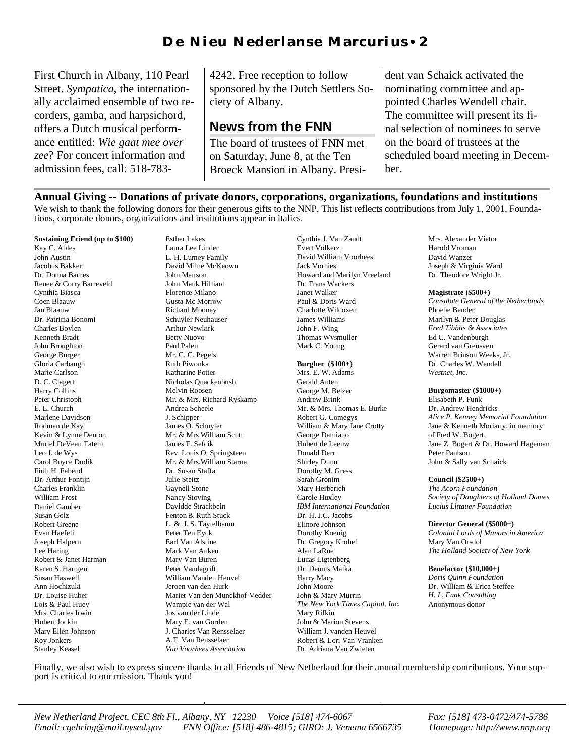# D e N i eu N eder l an s e M ar curius • 2

First Church in Albany, 110 Pearl Street. *Sympatica*, the internationally acclaimed ensemble of two recorders, gamba, and harpsichord, offers a Dutch musical performance entitled: *Wie gaat mee over zee*? For concert information and admission fees, call: 518-7834242. Free reception to follow sponsored by the Dutch Settlers Society of Albany.

# **News from the FNN**

The board of trustees of FNN met on Saturday, June 8, at the Ten Broeck Mansion in Albany. President van Schaick activated the nominating committee and appointed Charles Wendell chair. The committee will present its final selection of nominees to serve on the board of trustees at the scheduled board meeting in December.

**Annual Giving -- Donations of private donors, corporations, organizations, foundations and institutions**

We wish to thank the following donors for their generous gifts to the NNP. This list reflects contributions from July 1, 2001. Foundations, corporate donors, organizations and institutions appear in italics.

### **Sustaining Friend (up to \$100)**

Kay C. Ables John Austin Jacobus Bakker Dr. Donna Barnes Renee & Corry Barreveld Cynthia Biasca Coen Blaauw Jan Blaauw Dr. Patricia Bonomi Charles Boylen Kenneth Bradt John Broughton George Burger Gloria Carbaugh Marie Carlson D. C. Clagett Harry Collins Peter Christoph E. L. Church Marlene Davidson Rodman de Kay Kevin & Lynne Denton Muriel DeVeau Tatem Leo J. de Wys Carol Boyce Dudik Firth H. Fabend Dr. Arthur Fontijn Charles Franklin William Frost Daniel Gamber Susan Golz Robert Greene Evan Haefeli Joseph Halpern Lee Haring Robert & Janet Harman Karen S. Hartgen Susan Haswell Ann Hochizuki Dr. Louise Huber Lois & Paul Huey Mrs. Charles Irwin Hubert Jockin Mary Ellen Johnson Roy Jonkers Stanley Keasel

Esther Lakes Laura Lee Linder L. H. Lumey Family David Milne McKeown John Mattson John Mauk Hilliard Florence Milano Gusta Mc Morrow Richard Mooney Schuyler Neuhauser Arthur Newkirk Betty Nuovo Paul Palen Mr. C. C. Pegels Ruth Piwonka Katharine Potter Nicholas Quackenbush Melvin Roosen Mr. & Mrs. Richard Ryskamp Andrea Scheele J. Schipper James O. Schuyler Mr. & Mrs William Scutt James F. Sefcik Rev. Louis O. Springsteen Mr. & Mrs.William Starna Dr. Susan Staffa Julie Steitz Gaynell Stone Nancy Stoving Davidde Strackbein Fenton & Ruth Stuck L. & J. S. Taytelbaum Peter Ten Eyck Earl Van Alstine Mark Van Auken Mary Van Buren Peter Vandegrift William Vanden Heuvel Jeroen van den Hurk Mariet Van den Munckhof-Vedder Wampie van der Wal Jos van der Linde Mary E. van Gorden J. Charles Van Rensselaer A.T. Van Rensselaer *Van Voorhees Association*

Cynthia J. Van Zandt Evert Volkerz David William Voorhees Jack Vorhies Howard and Marilyn Vreeland Dr. Frans Wackers Janet Walker Paul & Doris Ward Charlotte Wilcoxen James Williams John F. Wing Thomas Wysmuller Mark C. Young

### **Burgher (\$100+)** Mrs. E. W. Adams

Gerald Auten George M. Belzer Andrew Brink Mr. & Mrs. Thomas E. Burke Robert G. Comegys William & Mary Jane Crotty George Damiano Hubert de Leeuw Donald Derr Shirley Dunn Dorothy M. Gress Sarah Gronim Mary Herberich Carole Huxley *IBM International Foundation* Dr. H. J.C. Jacobs Elinore Johnson Dorothy Koenig Dr. Gregory Krohel Alan LaRue Lucas Ligtenberg Dr. Dennis Maika Harry Macy John Moore John & Mary Murrin *The New York Times Capital, Inc.* Mary Rifkin John & Marion Stevens William J. vanden Heuvel Robert & Lori Van Vranken Dr. Adriana Van Zwieten

Mrs. Alexander Vietor Harold Vroman David Wanzer Joseph & Virginia Ward Dr. Theodore Wright Jr.

### **Magistrate (\$500+)**

*Consulate General of the Netherlands* Phoebe Bender Marilyn & Peter Douglas *Fred Tibbits & Associates* Ed C. Vandenburgh Gerard van Grensven Warren Brinson Weeks, Jr. Dr. Charles W. Wendell *Westnet, Inc.*

## **Burgomaster (\$1000+)**

Elisabeth P. Funk Dr. Andrew Hendricks *Alice P. Kenney Memorial Foundation*  Jane & Kenneth Moriarty, in memory of Fred W. Bogert, Jane Z. Bogert & Dr. Howard Hageman Peter Paulson John & Sally van Schaick

## **Council (\$2500+)**

*The Acorn Foundation Society of Daughters of Holland Dames Lucius Littauer Foundation*

**Director General (\$5000+)** *Colonial Lords of Manors in America* Mary Van Orsdol *The Holland Society of New York*

## **Benefactor (\$10,000+)**

*Doris Quinn Foundation* Dr. William & Erica Steffee *H. L. Funk Consulting* Anonymous donor

Finally, we also wish to express sincere thanks to all Friends of New Netherland for their annual membership contributions. Your support is critical to our mission. Thank you!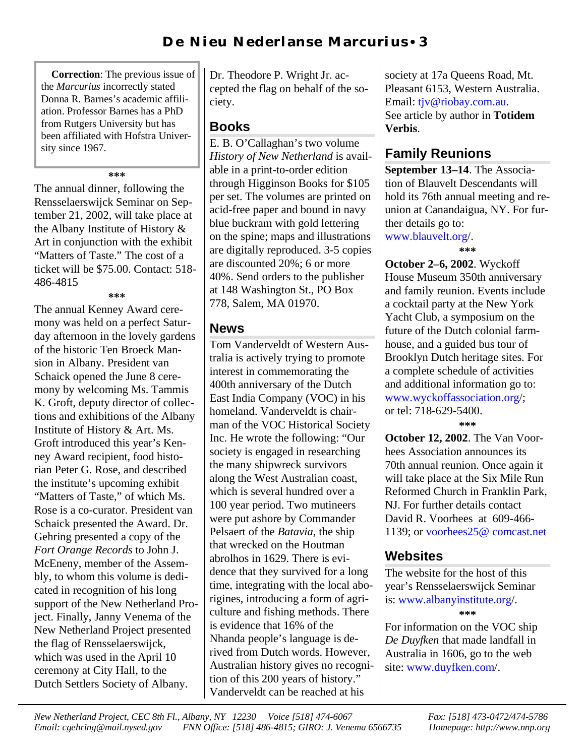**Correction**: The previous issue of the *Marcurius* incorrectly stated Donna R. Barnes's academic affiliation. Professor Barnes has a PhD from Rutgers University but has been affiliated with Hofstra University since 1967.

**\*\*\***

The annual dinner, following the Rensselaerswijck Seminar on September 21, 2002, will take place at the Albany Institute of History & Art in conjunction with the exhibit "Matters of Taste." The cost of a ticket will be \$75.00. Contact: 518- 486-4815

**\*\*\***

The annual Kenney Award ceremony was held on a perfect Saturday afternoon in the lovely gardens of the historic Ten Broeck Mansion in Albany. President van Schaick opened the June 8 ceremony by welcoming Ms. Tammis K. Groft, deputy director of collections and exhibitions of the Albany Institute of History & Art. Ms. Groft introduced this year's Kenney Award recipient, food historian Peter G. Rose, and described the institute's upcoming exhibit "Matters of Taste," of which Ms. Rose is a co-curator. President van Schaick presented the Award. Dr. Gehring presented a copy of the *Fort Orange Records* to John J. McEneny, member of the Assembly, to whom this volume is dedicated in recognition of his long support of the New Netherland Project. Finally, Janny Venema of the New Netherland Project presented the flag of Rensselaerswijck, which was used in the April 10 ceremony at City Hall, to the Dutch Settlers Society of Albany.

Dr. Theodore P. Wright Jr. accepted the flag on behalf of the society.

# **Books**

E. B. O'Callaghan's two volume *History of New Netherland* is available in a print-to-order edition through Higginson Books for \$105 per set. The volumes are printed on acid-free paper and bound in navy blue buckram with gold lettering on the spine; maps and illustrations are digitally reproduced. 3-5 copies are discounted 20%; 6 or more 40%. Send orders to the publisher at 148 Washington St., PO Box 778, Salem, MA 01970.

# **News**

Tom Vanderveldt of Western Australia is actively trying to promote interest in commemorating the 400th anniversary of the Dutch East India Company (VOC) in his homeland. Vanderveldt is chairman of the VOC Historical Society Inc. He wrote the following: "Our society is engaged in researching the many shipwreck survivors along the West Australian coast, which is several hundred over a 100 year period. Two mutineers were put ashore by Commander Pelsaert of the *Batavia*, the ship that wrecked on the Houtman abrolhos in 1629. There is evidence that they survived for a long time, integrating with the local aborigines, introducing a form of agriculture and fishing methods. There is evidence that 16% of the Nhanda people's language is derived from Dutch words. However, Australian history gives no recognition of this 200 years of history." Vanderveldt can be reached at his

society at 17a Queens Road, Mt. Pleasant 6153, Western Australia. Email: [tjv@riobay.com.au.](mailto:tjv@riobay.com.au) See article by author in **Totidem Verbis**.

# **Family Reunions**

**September 13–14**. The Association of Blauvelt Descendants will hold its 76th annual meeting and reunion at Canandaigua, NY. For further details go to: [www.blauvelt.org/.](http://www.blauvelt.org)

**\*\*\***

**October 2–6, 2002**. Wyckoff House Museum 350th anniversary and family reunion. Events include a cocktail party at the New York Yacht Club, a symposium on the future of the Dutch colonial farmhouse, and a guided bus tour of Brooklyn Dutch heritage sites. For a complete schedule of activities and additional information go to: [www.wyckoffassociation.org](http://wycoffassociation.org)/; or tel: 718-629-5400. **\*\*\***

**October 12, 2002**. The Van Voorhees Association announces its 70th annual reunion. Once again it will take place at the Six Mile Run Reformed Church in Franklin Park, NJ. For further details contact David R. Voorhees at 609-466- 1139; or [voorhees25@](mailto:voorhees25@comcast.net) comcast.net

# **Websites**

The website for the host of this year's Rensselaerswijck Seminar is: [www.albanyinstitute.org/.](http://www.albanyinstitute.org) **\*\*\***

For information on the VOC ship *De Duyfken* that made landfall in Australia in 1606, go to the web site[: www.duyfken.com/.](http://www.duyfken.com)